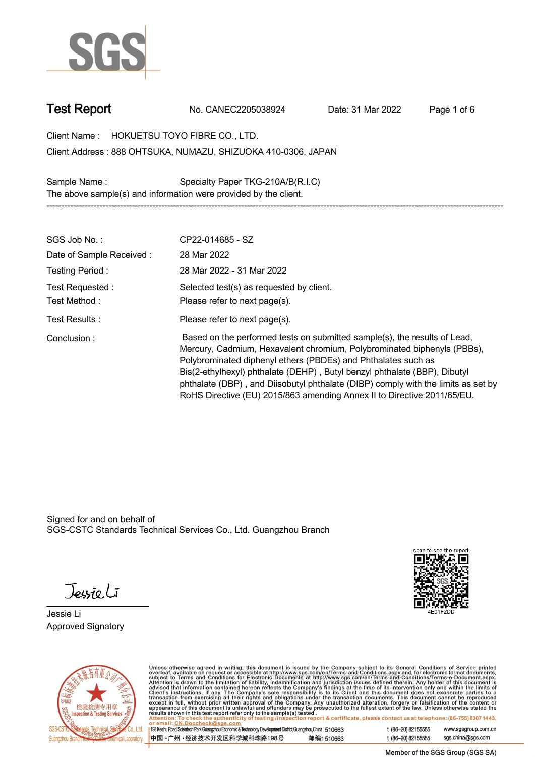

**Test Report. No. CANEC2205038924 . Date: 31 Mar 2022 . Page 1 of 6.**

**Client Name : HOKUETSU TOYO FIBRE CO., LTD. .**

**888 OHTSUKA, NUMAZU, SHIZUOKA 410-0306, JAPAN . Client Address :**

**Sample Name : Specialty Paper TKG-210A/B(R.I.C) . The above sample(s) and information were provided by the client.**

| SGS Job No.:                     | CP22-014685 - SZ                                                                                                                                                                                                                                                                                                                                                                                                                                                   |
|----------------------------------|--------------------------------------------------------------------------------------------------------------------------------------------------------------------------------------------------------------------------------------------------------------------------------------------------------------------------------------------------------------------------------------------------------------------------------------------------------------------|
| Date of Sample Received:         | 28 Mar 2022                                                                                                                                                                                                                                                                                                                                                                                                                                                        |
| Testing Period:                  | 28 Mar 2022 - 31 Mar 2022                                                                                                                                                                                                                                                                                                                                                                                                                                          |
| Test Requested :<br>Test Method: | Selected test(s) as requested by client.<br>Please refer to next page(s).                                                                                                                                                                                                                                                                                                                                                                                          |
| Test Results:                    | Please refer to next page(s).                                                                                                                                                                                                                                                                                                                                                                                                                                      |
| Conclusion:                      | Based on the performed tests on submitted sample(s), the results of Lead,<br>Mercury, Cadmium, Hexavalent chromium, Polybrominated biphenyls (PBBs),<br>Polybrominated diphenyl ethers (PBDEs) and Phthalates such as<br>Bis(2-ethylhexyl) phthalate (DEHP), Butyl benzyl phthalate (BBP), Dibutyl<br>phthalate (DBP), and Diisobutyl phthalate (DIBP) comply with the limits as set by<br>RoHS Directive (EU) 2015/863 amending Annex II to Directive 2011/65/EU. |

**-----------------------------------------------------------------------------------------------------------------------------------------------------------**

Signed for and on behalf of SGS-CSTC Standards Technical Services Co., Ltd. Guangzhou Branch.

Jessieli

**Jessie Li. Approved Signatory .**





Unless otherwise agreed in writing, this document is issued by the Company subject to its General Conditions of Service printed<br>overleaf, available on request or accessible at http://www.sgs.com/en/Terms-and-Conditions.as

| 198 Kezhu Road, Scientech Park Guangzhou Economic & Technology Development District, Guangzhou, China 510663 |            |
|--------------------------------------------------------------------------------------------------------------|------------|
| 中国 •广州 •经济技术开发区科学城科珠路198号                                                                                    | 邮编: 510663 |

t (86-20) 82155555 www.sgsgroup.com.cn sgs.china@sgs.com t (86-20) 82155555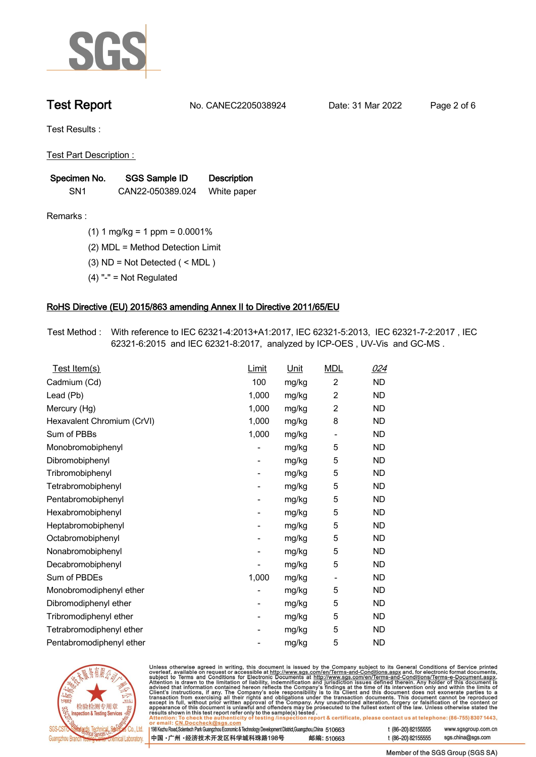

**Test Report. No. CANEC2205038924 . Date: 31 Mar 2022 . Page 2 of 6.**

**Test Results :.**

**Test Part Description : .**

| Specimen No.    | SGS Sample ID    | <b>Description</b> |  |
|-----------------|------------------|--------------------|--|
| SN <sub>1</sub> | CAN22-050389.024 | White paper        |  |

- **Remarks :.(1) 1 mg/kg = 1 ppm = 0.0001% .**
	- **(2) MDL = Method Detection Limit .**
	- **(3) ND = Not Detected ( < MDL ) .**
	- **(4) "-" = Not Regulated .**

## **RoHS Directive (EU) 2015/863 amending Annex II to Directive 2011/65/EU.**

**Test Method :. With reference to IEC 62321-4:2013+A1:2017, IEC 62321-5:2013, IEC 62321-7-2:2017 , IEC 62321-6:2015 and IEC 62321-8:2017, analyzed by ICP-OES , UV-Vis and GC-MS . .**

| Test Item(s)               | <b>Limit</b> | <u>Unit</u> | <b>MDL</b>                   | <u>024</u> |
|----------------------------|--------------|-------------|------------------------------|------------|
| Cadmium (Cd)               | 100          | mg/kg       | $\overline{2}$               | <b>ND</b>  |
| Lead (Pb)                  | 1,000        | mg/kg       | $\overline{2}$               | <b>ND</b>  |
| Mercury (Hg)               | 1,000        | mg/kg       | $\overline{2}$               | <b>ND</b>  |
| Hexavalent Chromium (CrVI) | 1,000        | mg/kg       | 8                            | <b>ND</b>  |
| Sum of PBBs                | 1,000        | mg/kg       | $\overline{\phantom{0}}$     | <b>ND</b>  |
| Monobromobiphenyl          |              | mg/kg       | 5                            | <b>ND</b>  |
| Dibromobiphenyl            | -            | mg/kg       | 5                            | <b>ND</b>  |
| Tribromobiphenyl           | -            | mg/kg       | 5                            | <b>ND</b>  |
| Tetrabromobiphenyl         |              | mg/kg       | 5                            | <b>ND</b>  |
| Pentabromobiphenyl         | -            | mg/kg       | 5                            | <b>ND</b>  |
| Hexabromobiphenyl          |              | mg/kg       | 5                            | <b>ND</b>  |
| Heptabromobiphenyl         |              | mg/kg       | 5                            | <b>ND</b>  |
| Octabromobiphenyl          | -            | mg/kg       | 5                            | <b>ND</b>  |
| Nonabromobiphenyl          |              | mg/kg       | 5                            | <b>ND</b>  |
| Decabromobiphenyl          |              | mg/kg       | 5                            | <b>ND</b>  |
| Sum of PBDEs               | 1,000        | mg/kg       | $\qquad \qquad \blacksquare$ | <b>ND</b>  |
| Monobromodiphenyl ether    |              | mg/kg       | 5                            | <b>ND</b>  |
| Dibromodiphenyl ether      |              | mg/kg       | 5                            | <b>ND</b>  |
| Tribromodiphenyl ether     | -            | mg/kg       | 5                            | <b>ND</b>  |
| Tetrabromodiphenyl ether   |              | mg/kg       | 5                            | <b>ND</b>  |
| Pentabromodiphenyl ether   |              | mg/kg       | 5                            | <b>ND</b>  |



Unless otherwise agreed in writing, this document is issued by the Company subject to its General Conditions of Service printed overleaf, available on request or accessible at http://www.sgs.com/en/Terms-and-Conditions.as

| or email: CN.DOCCHECK@sgs.com                                                                              |            |                    |                     |
|------------------------------------------------------------------------------------------------------------|------------|--------------------|---------------------|
| 198 Kezhu Road,Scientech Park Guangzhou Economic & Technology Development District,Guangzhou,China 51 0663 |            | t (86-20) 82155555 | www.sgsgroup.com.cl |
| ┃中国 •广州 •经济技术开发区科学城科珠路198号 ↓                                                                               | 邮编: 510663 | t (86-20) 82155555 | sgs.china@sgs.com   |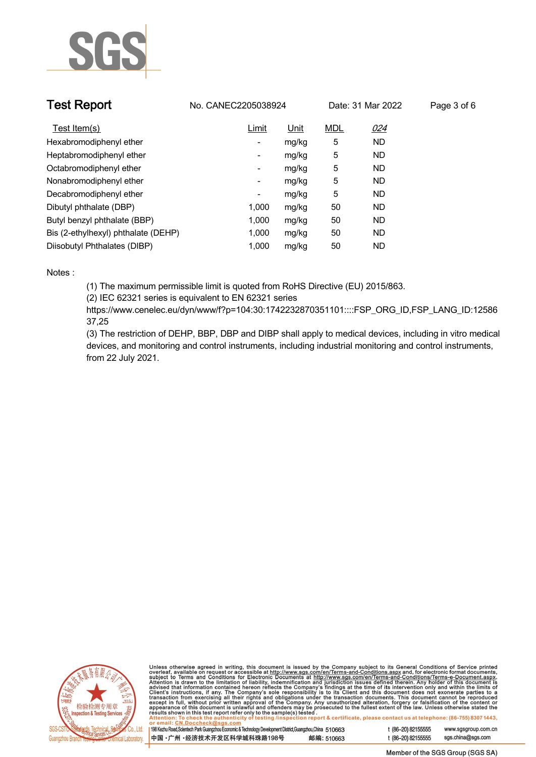

| <b>Test Report</b>                  | No. CANEC2205038924 |       |            | Date: 31 Mar 2022 | Page 3 of 6 |
|-------------------------------------|---------------------|-------|------------|-------------------|-------------|
| Test Item(s)                        | Limit               | Unit  | <b>MDL</b> | 024               |             |
| Hexabromodiphenyl ether             | -                   | mg/kg | 5          | <b>ND</b>         |             |
| Heptabromodiphenyl ether            | Ξ.                  | mg/kg | 5          | <b>ND</b>         |             |
| Octabromodiphenyl ether             | Ξ.                  | mg/kg | 5          | <b>ND</b>         |             |
| Nonabromodiphenyl ether             | -                   | mg/kg | 5          | <b>ND</b>         |             |
| Decabromodiphenyl ether             | -                   | mg/kg | 5          | <b>ND</b>         |             |
| Dibutyl phthalate (DBP)             | 1.000               | mg/kg | 50         | ND                |             |
| Butyl benzyl phthalate (BBP)        | 1.000               | mg/kg | 50         | ND                |             |
| Bis (2-ethylhexyl) phthalate (DEHP) | 1.000               | mg/kg | 50         | <b>ND</b>         |             |
| Diisobutyl Phthalates (DIBP)        | 1.000               | mg/kg | 50         | <b>ND</b>         |             |

### **Notes :.**

**(1) The maximum permissible limit is quoted from RoHS Directive (EU) 2015/863.**

**(2) IEC 62321 series is equivalent to EN 62321 series**

**https://www.cenelec.eu/dyn/www/f?p=104:30:1742232870351101::::FSP\_ORG\_ID,FSP\_LANG\_ID:12586 37,25**

**(3) The restriction of DEHP, BBP, DBP and DIBP shall apply to medical devices, including in vitro medical devices, and monitoring and control instruments, including industrial monitoring and control instruments, from 22 July 2021..**



Unless otherwise agreed in writing, this document is issued by the Company subject to its General Conditions of Service printed<br>overleaf, available on request or accessible at http://www.sgs.com/en/Terms-and-Conditions.as

| 198 Kezhu Road,Scientech Park Guangzhou Economic & Technology Development District,Guangzhou,China 51 0663 |            |  |
|------------------------------------------------------------------------------------------------------------|------------|--|
| 中国 •广州 •经济技术开发区科学城科珠路198号                                                                                  | 邮编: 510663 |  |

www.sgsgroup.com.cn

t (86-20) 82155555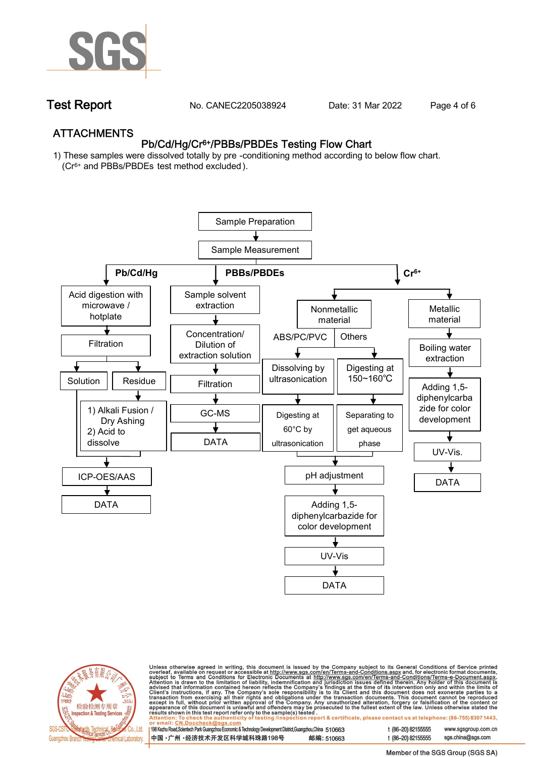

**Test Report. No. CANEC2205038924 . Date: 31 Mar 2022 . Page 4 of 6.**

## **ATTACHMENTS Pb/Cd/Hg/Cr6+/PBBs/PBDEs Testing Flow Chart**

**1) These samples were dissolved totally by pre -conditioning method according to below flow chart. (Cr6+ and PBBs/PBDEs test method excluded ).**





Unless otherwise agreed in writing, this document is issued by the Company subject to its General Conditions of Service printed<br>overleaf, available on request or accessible at <u>http://www.sgs.com/en/Terms-and-Conditions.a</u>

| 98 Kezhu Road,Scientech Park Guangzhou Economic & Technology Development District,Guangzhou,China 510663 |            |
|----------------------------------------------------------------------------------------------------------|------------|
| 中国 •广州 •经济技术开发区科学城科珠路198号 )                                                                              | 邮编: 510663 |

t (86-20) 82155555 www.sgsgroup.com.cn t (86-20) 82155555 sas.china@sas.com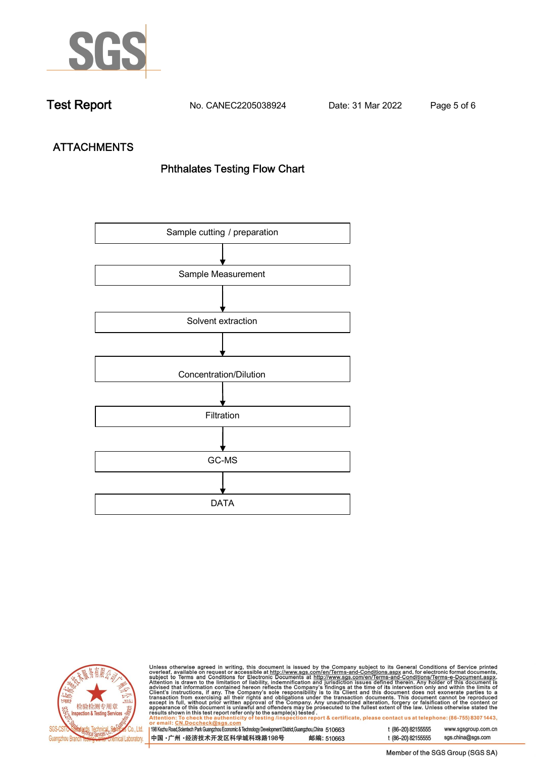

**Test Report. No. CANEC2205038924 . Date: 31 Mar 2022 . Page 5 of 6.**

# **ATTACHMENTS Phthalates Testing Flow Chart**





Unless otherwise agreed in writing, this document is issued by the Company subject to its General Conditions of Service printed<br>overleaf, available on request or accessible at http://www.sgs.com/en/Terms-and-Conditions.as

| 198 Kezhu Road,Scientech Park Guangzhou Economic & Technology Development District,Guangzhou,China 510663 |            |
|-----------------------------------------------------------------------------------------------------------|------------|
| 中国 •广州 •经济技术开发区科学城科珠路198号                                                                                 | 邮编: 510663 |

t (86-20) 82155555 sgs.china@sgs.com

www.sgsgroup.com.cn

t (86-20) 82155555